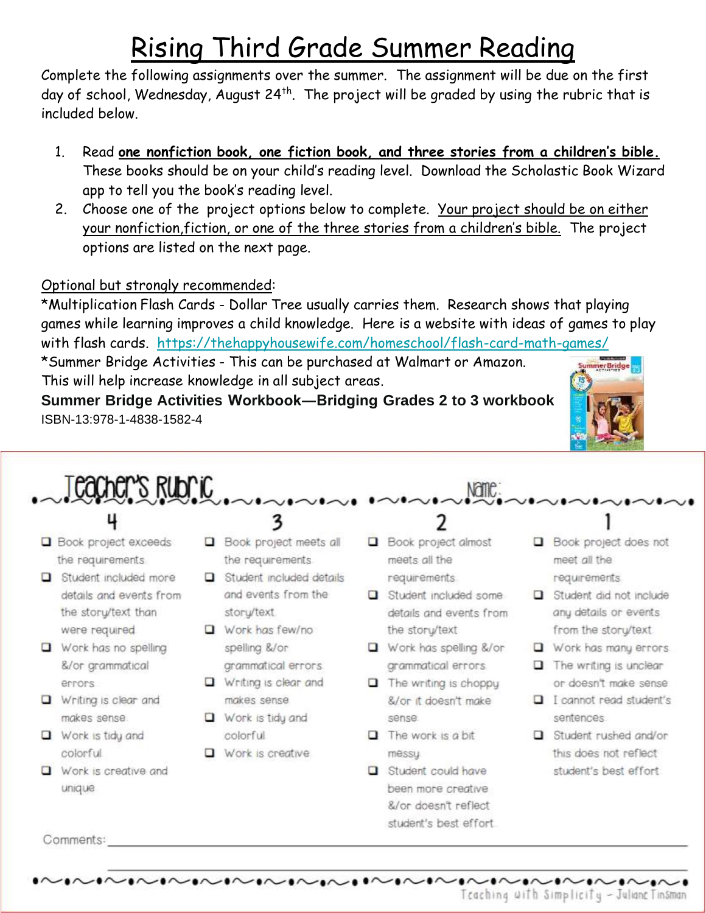# Rising Third Grade Summer Reading

Complete the following assignments over the summer. The assignment will be due on the first day of school, Wednesday, August 24<sup>th</sup>. The project will be graded by using the rubric that is included below.

- Read one nonfiction book, one fiction book, and three stories from a children's bible.  $1<sub>1</sub>$ These books should be on your child's reading level. Download the Scholastic Book Wizard app to tell you the book's reading level.
- 2. Choose one of the project options below to complete. Your project should be on either your nonfiction, fiction, or one of the three stories from a children's bible. The project options are listed on the next page.

### Optional but strongly recommended:

\*Multiplication Flash Cards - Dollar Tree usually carries them. Research shows that playing games while learning improves a child knowledge. Here is a website with ideas of games to play with flash cards. https://thehappyhousewife.com/homeschool/flash-card-math-games/

\*Summer Bridge Activities - This can be purchased at Walmart or Amazon. This will help increase knowledge in all subject areas.

Summer Bridge Activities Workbook-Bridging Grades 2 to 3 workbook ISBN-13:978-1-4838-1582-4



Teacher's Rubric

- 
- Book project exceeds the requirements.
- $\Box$  Student included more details and events from the story/text than were required
- Work has no spelling &/or grammatical errors
- $\Box$  Writing is clear and makes sense
- $\Box$  Work is tidy and colorful
- $\Box$  Work is creative and unique
- 
- Book project meets all the requirements
- $\Box$  Student included details and events from the story/text
- $\Box$  Work has few/no spelling &/or grammatical errors.
- $\Box$  Writing is clear and makes sense  $\Box$  Work is tidy and
- colorful
- $\Box$  Work is creative

**Book project almost** meets all the requirements.

Name:

- Student included some details and events from the story/text.
- $\Box$  Work has spelling &/or grammatical errors
- $\Box$  The writing is choppy &/or it doesn't make sense.
- $\Box$  The work is a bit messy
- Student could have been more creative &/or doesn't reflect student's best effort.
- Book project does not meet all the requirements
- $\Box$  Student did not include any details or events from the storu/text
- $\Box$  Work has many errors
- $\Box$  The writing is unclear or doesn't make sense
- I cannot read student's sentences.
- Student rushed and/or this does not reflect student's best effort.

Comments: